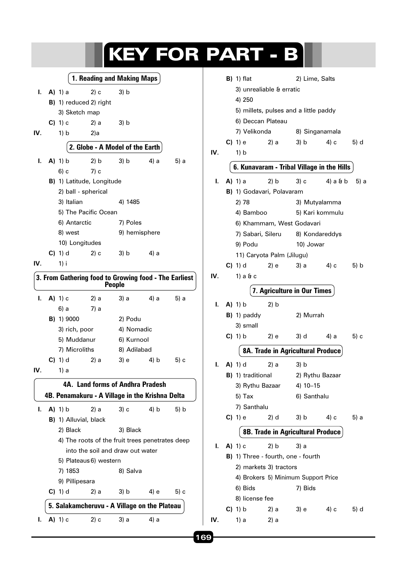|                            |                                  |                   |                                                       |               |               | <b>KEY FOR PA</b> |     |   |
|----------------------------|----------------------------------|-------------------|-------------------------------------------------------|---------------|---------------|-------------------|-----|---|
| 1. Reading and Making Maps |                                  |                   |                                                       |               |               |                   |     | E |
| ı.                         |                                  | $A)$ 1) a         | 2) c                                                  | 3) b          |               |                   |     |   |
|                            |                                  |                   | <b>B)</b> 1) reduced 2) right                         |               |               |                   |     |   |
|                            |                                  | 3) Sketch map     |                                                       |               |               |                   |     |   |
|                            |                                  | $C$ ) 1) $c$      | 2) a                                                  | 3) b          |               |                   |     |   |
| IV.                        |                                  | 1) b              | 2a                                                    |               |               |                   |     |   |
|                            |                                  |                   | 2. Globe - A Model of the Earth                       |               |               |                   | IV. | C |
| ı.                         |                                  | $A)$ 1) b         | 2) b                                                  | 3) b          | 4) a          | 5) a              |     |   |
|                            |                                  | 6) c              | 7) c                                                  |               |               |                   |     |   |
|                            |                                  |                   | B) 1) Latitude, Longitude                             |               |               |                   | ı.  |   |
|                            |                                  |                   | 2) ball - spherical                                   |               |               |                   |     | E |
|                            |                                  | 3) Italian        |                                                       | 4) 1485       |               |                   |     |   |
|                            |                                  |                   | 5) The Pacific Ocean                                  |               |               |                   |     |   |
|                            |                                  | 6) Antarctic      |                                                       | 7) Poles      |               |                   |     |   |
|                            |                                  | 8) west           |                                                       |               | 9) hemisphere |                   |     |   |
|                            |                                  |                   | 10) Longitudes                                        |               |               |                   |     |   |
|                            |                                  | $C$ ) 1) d        | 2) c                                                  | 3) b          | 4) a          |                   |     |   |
| IV.                        |                                  | 1) i              |                                                       |               |               |                   |     | C |
|                            |                                  |                   | 3. From Gathering food to Growing food - The Earliest | <b>People</b> |               |                   | IV. |   |
| ı.                         |                                  | A) 1) c           | 2) a                                                  |               | 3) a 4) a     | 5) a              | ı.  |   |
|                            |                                  | 6) a              | 7) a                                                  |               |               |                   |     | E |
|                            |                                  | <b>B)</b> 1) 9000 |                                                       | 2) Podu       |               |                   |     |   |
|                            |                                  | 3) rich, poor     |                                                       | 4) Nomadic    |               |                   |     | C |
|                            |                                  | 5) Muddanur       |                                                       | 6) Kurnool    |               |                   |     |   |
|                            |                                  | 7) Microliths     |                                                       | 8) Adilabad   |               |                   |     |   |
|                            |                                  | $C)$ 1) d         | $(2)$ a                                               |               | 3) e 4) b     | 5) c              | ı.  |   |
| IV.                        |                                  | 1) a              |                                                       |               |               |                   |     | E |
|                            |                                  |                   | 4A. Land forms of Andhra Pradesh                      |               |               |                   |     |   |
|                            |                                  |                   | 4B. Penamakuru - A Village in the Krishna Delta       |               |               |                   |     |   |
| ı.                         |                                  | $A)$ 1) b         | 2) a                                                  | 3) c          | $4$ ) b       | 5) b              |     |   |
|                            |                                  |                   | B) 1) Alluvial, black                                 |               |               |                   |     | C |
|                            |                                  | 2) Black          |                                                       | 3) Black      |               |                   |     |   |
|                            |                                  |                   | 4) The roots of the fruit trees penetrates deep       |               |               |                   | I.  |   |
|                            | into the soil and draw out water |                   |                                                       |               |               |                   |     | E |
|                            |                                  |                   | 5) Plateaus 6) western                                |               |               |                   |     |   |
|                            |                                  | 7) 1853           |                                                       | 8) Salva      |               |                   |     |   |
|                            |                                  | 9) Pillipesara    |                                                       |               |               |                   |     |   |
|                            |                                  | $C$ ) 1) d        | 2) a                                                  | 3) b          | 4) e          | 5) c              |     |   |
|                            |                                  |                   | 5. Salakamcheruvu - A Village on the Plateau          |               |               |                   |     |   |
| ı.                         |                                  | A) 1) c           | 2) c                                                  | 3) a          | 4) a          |                   | IV. |   |

|     |                                            | <b>B</b> ) 1) flat                      |      | 2) Lime, Salts                        |          |      |  |  |  |
|-----|--------------------------------------------|-----------------------------------------|------|---------------------------------------|----------|------|--|--|--|
|     |                                            | 3) unrealiable & erratic                |      |                                       |          |      |  |  |  |
|     |                                            | 4) 250                                  |      |                                       |          |      |  |  |  |
|     |                                            |                                         |      | 5) millets, pulses and a little paddy |          |      |  |  |  |
|     |                                            | 6) Deccan Plateau                       |      |                                       |          |      |  |  |  |
|     |                                            | 7) Velikonda                            |      | 8) Singanamala                        |          |      |  |  |  |
|     |                                            | $C( ) 1 $ e                             | 2) a | 3) b                                  | 4) с     | 5) d |  |  |  |
| IV. |                                            | 1) b                                    |      |                                       |          |      |  |  |  |
|     | 6. Kunavaram - Tribal Village in the Hills |                                         |      |                                       |          |      |  |  |  |
|     |                                            |                                         |      |                                       |          |      |  |  |  |
| ı.  |                                            | <b>A)</b> 1) a                          | 2) b | 3) c                                  | 4) a & b | 5) a |  |  |  |
|     |                                            | <b>B)</b> 1) Godavari, Polavaram        |      |                                       |          |      |  |  |  |
|     |                                            | 2) 78                                   |      | 3) Mutyalamma                         |          |      |  |  |  |
|     |                                            | 4) Bamboo                               |      | 5) Kari kommulu                       |          |      |  |  |  |
|     |                                            | 6) Khammam, West Godavari               |      |                                       |          |      |  |  |  |
|     |                                            |                                         |      | 7) Sabari, Sileru 8) Kondareddys      |          |      |  |  |  |
|     |                                            | 9) Podu                                 |      | 10) Jowar                             |          |      |  |  |  |
|     |                                            | 11) Caryota Palm (Jilugu)<br>$C$ ) 1) d |      |                                       |          |      |  |  |  |
| IV. |                                            | 1) a & c                                | 2) e | 3) a                                  | 4) с     | 5) b |  |  |  |
|     |                                            |                                         |      |                                       |          |      |  |  |  |
|     |                                            |                                         |      | 7. Agriculture in Our Times           |          |      |  |  |  |
| I.  |                                            | <b>A)</b> 1) b                          | 2) b |                                       |          |      |  |  |  |
|     |                                            | $B)$ 1) paddy                           |      | 2) Murrah                             |          |      |  |  |  |
|     |                                            | 3) small                                |      |                                       |          |      |  |  |  |
|     |                                            | $C$ ) 1) b                              | 2) e | 3) d                                  | 4) a     | 5) c |  |  |  |
|     |                                            |                                         |      | 8A. Trade in Agricultural Produce     |          |      |  |  |  |
| I.  |                                            | <b>A)</b> 1) d                          | 2) a | 3) b                                  |          |      |  |  |  |
|     |                                            | <b>B)</b> 1) traditional                |      | 2) Rythu Bazaar                       |          |      |  |  |  |
|     |                                            | 3) Rythu Bazaar                         |      | 4) 10-15                              |          |      |  |  |  |
|     |                                            | 5) Tax                                  |      | 6) Santhalu                           |          |      |  |  |  |
|     |                                            | 7) Santhalu                             |      |                                       |          |      |  |  |  |
|     |                                            | C) 1) e                                 | 2) d | 3) b                                  | 4) c     | 5) a |  |  |  |
|     |                                            |                                         |      | 8B. Trade in Agricultural Produce     |          |      |  |  |  |
| ı.  |                                            | $A)$ 1) c                               | 2) b | 3) a                                  |          |      |  |  |  |
|     |                                            | B) 1) Three - fourth, one - fourth      |      |                                       |          |      |  |  |  |
|     | 2) markets 3) tractors                     |                                         |      |                                       |          |      |  |  |  |
|     |                                            |                                         |      | 4) Brokers 5) Minimum Support Price   |          |      |  |  |  |
|     |                                            | 6) Bids                                 |      | 7) Bids                               |          |      |  |  |  |
|     |                                            | 8) license fee                          |      |                                       |          |      |  |  |  |
|     |                                            | $C$ ) 1) b                              | 2) a | 3) e                                  | 4) с     | 5) d |  |  |  |
| IV. |                                            | 1) a                                    | 2) a |                                       |          |      |  |  |  |